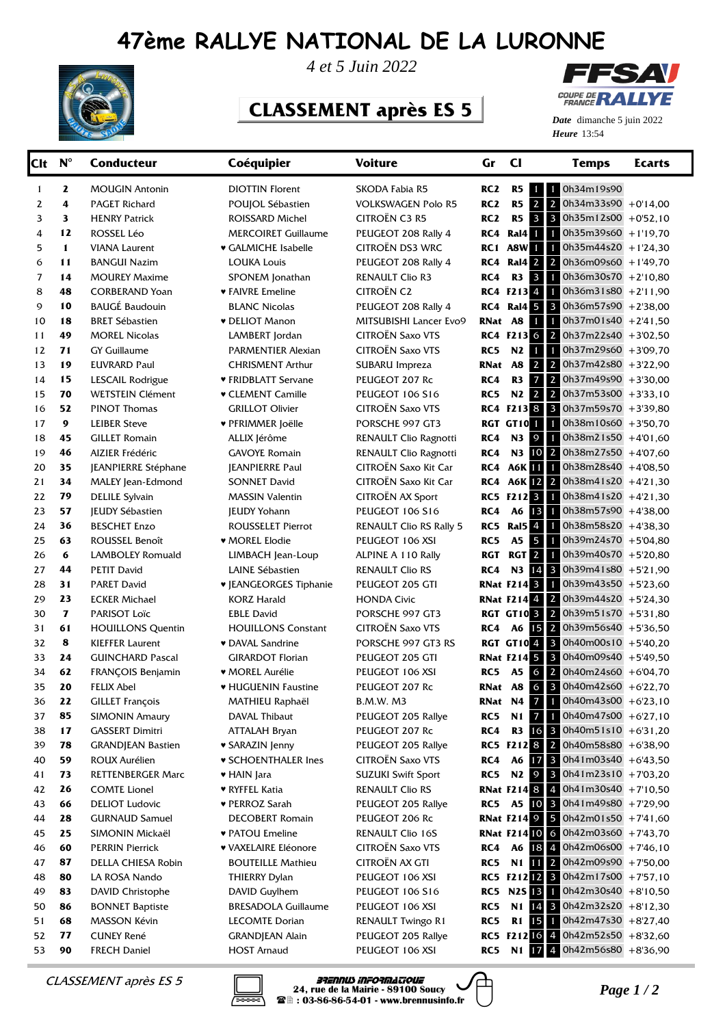## **47ème RALLYE NATIONAL DE LA LURONNE**



*4 et 5 Juin 2022*

## **CLASSEMENT après ES 5**



**Heure** 13:54 *Date* dimanche 5 juin 2022

| Clt            | $N^{\circ}$  | <b>Conducteur</b>        | Coéquipier                    | <b>Voiture</b>                 | Gr              | <b>CI</b>                    | <b>Temps</b>                                | <b>Ecarts</b> |
|----------------|--------------|--------------------------|-------------------------------|--------------------------------|-----------------|------------------------------|---------------------------------------------|---------------|
| 1              | $\mathbf{z}$ | <b>MOUGIN Antonin</b>    | <b>DIOTTIN Florent</b>        | SKODA Fabia R5                 | RC <sub>2</sub> | R5                           | 1 1 0h34m19s90                              |               |
| 2              | 4            | <b>PAGET Richard</b>     | POUJOL Sébastien              | <b>VOLKSWAGEN Polo R5</b>      | RC <sub>2</sub> | $2 \mid 2$<br>R <sub>5</sub> | 0h34m33s90 +0'14,00                         |               |
| 3              | 3            | <b>HENRY Patrick</b>     | ROISSARD Michel               | CITROËN C3 R5                  | RC <sub>2</sub> | R <sub>5</sub>               | 3 3 0h35m12s00 +0'52,10                     |               |
| 4              | 12           | ROSSEL Léo               | <b>MERCOIRET Guillaume</b>    | PEUGEOT 208 Rally 4            | RC4             |                              | <b>Ral4</b> 1 0h35m39s60 +1'19,70           |               |
| 5              | $\mathbf{1}$ | <b>VIANA Laurent</b>     | ♥ GALMICHE Isabelle           | CITROËN DS3 WRC                | RC 1            | $1 \mid 1$<br>A8W            | $0h35m44s20 + 1'24,30$                      |               |
| 6              | 11           | <b>BANGUI Nazim</b>      | <b>LOUKA Louis</b>            | PEUGEOT 208 Rally 4            | RC4             |                              | <b>Ral4</b> 2 2 0h36m09s60 +1'49,70         |               |
| $\overline{7}$ | 14           | <b>MOUREY Maxime</b>     | SPONEM Jonathan               | RENAULT Clio R3                | RC4             | R3                           | $3$ 1 0h36m30s70 +2'10,80                   |               |
| 8              | 48           | <b>CORBERAND Yoan</b>    | <b>v</b> FAIVRE Emeline       | <b>CITROËN C2</b>              |                 |                              | RC4 F213 4 1 0h36m31s80 +2'11,90            |               |
| 9              | 10           | <b>BAUGÉ Baudouin</b>    | <b>BLANC Nicolas</b>          | PEUGEOT 208 Rally 4            | RC4             |                              | Ral4 5 3 0h36m57s90 +2'38,00                |               |
| 10             | 18           | <b>BRET Sébastien</b>    | <b>v</b> DELIOT Manon         | MITSUBISHI Lancer Evo9         | RNat            | <b>A8</b>                    | 1 0h37m01s40 +2'41,50                       |               |
| 11             | 49           | <b>MOREL Nicolas</b>     | LAMBERT Jordan                | CITROËN Saxo VTS               |                 |                              | RC4 F213 6 2 0h37m22s40 +3'02,50            |               |
| 12             | 71           | <b>GY Guillaume</b>      | PARMENTIER Alexian            | CITROËN Saxo VTS               | RC5             | N2                           | 1 0h37m29s60 +3'09,70                       |               |
| 13             | 19           | <b>EUVRARD Paul</b>      | <b>CHRISMENT Arthur</b>       | SUBARU Impreza                 | RNat            | $2 \mid 2$<br><b>A8</b>      | 0h37m42s80 +3'22,90                         |               |
| 14             | 15           | LESCAIL Rodrigue         | ♥ FRIDBLATT Servane           | PEUGEOT 207 Rc                 | RC4             | R3                           | 7 2 0h37m49s90 +3'30,00                     |               |
| 15             | 70           | <b>WETSTEIN Clément</b>  | <b>v</b> CLEMENT Camille      | PEUGEOT 106 S16                | RC5             |                              | N2 2 2 0h37m53s00 +3'33,10                  |               |
| 16             | 52           | <b>PINOT Thomas</b>      | <b>GRILLOT Olivier</b>        | CITROËN Saxo VTS               |                 |                              | RC4 F213 8 3 0h37m59s70 +3'39,80            |               |
| 17             | 9            | <b>LEIBER Steve</b>      | ♥ PFRIMMER Joëlle             | PORSCHE 997 GT3                |                 |                              | <b>RGT GT10</b> 1 0h38m10s60 +3'50,70       |               |
| 18             | 45           | <b>GILLET Romain</b>     | ALLIX Jérôme                  | RENAULT Clio Ragnotti          | RC4             |                              | N3 9 1 0h38m21s50 +4'01,60                  |               |
| 19             | 46           | <b>AIZIER Frédéric</b>   | <b>GAVOYE Romain</b>          | RENAULT Clio Ragnotti          | RC4             |                              | N3 10 2 0h38m27s50 +4'07,60                 |               |
| 20             | 35           | JEANPIERRE Stéphane      | <b>JEANPIERRE Paul</b>        | CITROËN Saxo Kit Car           | RC4             |                              | A6K 11 1 0h38m28s40 +4'08,50                |               |
| 21             | 34           | MALEY Jean-Edmond        | <b>SONNET David</b>           | CITROËN Saxo Kit Car           | RC4             |                              | A6K $12$ 2 0h38m41s20 +4'21,30              |               |
| 22             | 79           | <b>DELILE Sylvain</b>    | <b>MASSIN Valentin</b>        | CITROËN AX Sport               |                 |                              | RC5 F212 3 1 0h38m41s20 +4'21,30            |               |
| 23             | 57           | <b>IEUDY Sébastien</b>   | <b>JEUDY Yohann</b>           | <b>PEUGEOT 106 S16</b>         | RC4             |                              | A6 13 1 0h38m57s90 +4'38,00                 |               |
| 24             | 36           | <b>BESCHET Enzo</b>      | <b>ROUSSELET Pierrot</b>      | <b>RENAULT Clio RS Rally 5</b> | RC5             |                              | Ral5 4 1 0h38m58s20 +4'38,30                |               |
| 25             | 63           | ROUSSEL Benoît           | ♥ MOREL Elodie                | PEUGEOT 106 XSI                | RC5             |                              | A5 5 1 0h39m24s70 +5'04,80                  |               |
| 26             | 6            | <b>LAMBOLEY Romuald</b>  | LIMBACH Jean-Loup             | ALPINE A 110 Rally             | <b>RGT</b>      |                              | RGT 2 1 0h39m40s70 +5'20,80                 |               |
| 27             | 44           | <b>PETIT David</b>       | LAINE Sébastien               | <b>RENAULT Clio RS</b>         | RC4             |                              | N3 14 3 0h39m41s80 +5'21,90                 |               |
| 28             | 31           | <b>PARET David</b>       | <b>v</b> JEANGEORGES Tiphanie | PEUGEOT 205 GTI                |                 |                              | <b>RNat F214 3</b> 1 0h39m43s50 +5'23,60    |               |
| 29             | 23           | <b>ECKER Michael</b>     | <b>KORZ Harald</b>            | <b>HONDA Civic</b>             |                 |                              | <b>RNat F214</b> 4 2 0h39m44s20 +5'24,30    |               |
| 30             | $\mathbf{z}$ | PARISOT Loïc             | <b>EBLE David</b>             | PORSCHE 997 GT3                |                 |                              | <b>RGT GT10 3 2 0h39m51s70</b> +5'31,80     |               |
| 31             | 61           | <b>HOUILLONS Quentin</b> | <b>HOUILLONS Constant</b>     | CITROËN Saxo VTS               | RC4             |                              | A6 15 2 0h39m56s40 +5'36,50                 |               |
| 32             | 8            | <b>KIEFFER Laurent</b>   | • DAVAL Sandrine              | PORSCHE 997 GT3 RS             |                 |                              | <b>RGT GT10</b> 4 3 $0h40m00s10 + 5'40,20$  |               |
| 33             | 24           | <b>GUINCHARD Pascal</b>  | <b>GIRARDOT Florian</b>       | PEUGEOT 205 GTI                |                 |                              | RNat F214 5 3 0h40m09s40 +5'49,50           |               |
| 34             | 62           | FRANÇOIS Benjamin        | <b>* MOREL Aurélie</b>        | PEUGEOT 106 XSI                | RC <sub>5</sub> | A5 6 2                       | 0h40m24s60 +6'04,70                         |               |
| 35             | 20           | <b>FELIX Abel</b>        | ♥ HUGUENIN Faustine           | PEUGEOT 207 Rc                 | RNat A8         | 6                            | 3 0h40m42s60 +6'22,70                       |               |
| 36             | 22           | <b>GILLET François</b>   | MATHIEU Raphaël               | <b>B.M.W. M3</b>               |                 |                              | <b>RNat N4 7 1 0h40m43s00</b> +6'23,10      |               |
| 37             | 85           | <b>SIMONIN Amaury</b>    | DAVAL Thibaut                 | PEUGEOT 205 Rallye             | RC5             |                              | N1 7 0h40m47s00 +6'27,10                    |               |
| 38             | 17           | <b>GASSERT Dimitri</b>   | <b>ATTALAH Bryan</b>          | PEUGEOT 207 Rc                 | RC4             |                              | R3 16 3 $0h40m51s10 + 6'31,20$              |               |
| 39             | 78           | <b>GRANDJEAN Bastien</b> | <b>v SARAZIN Jenny</b>        | PEUGEOT 205 Rallye             |                 |                              | RC5 F212 8 2 0h40m58s80 +6'38,90            |               |
| 40             | 59           | ROUX Aurélien            | <b>v SCHOENTHALER Ines</b>    | CITROËN Saxo VTS               | RC4             |                              | A6 17 3 $0h41m03s40 + 643,50$               |               |
| 41             | 73           | RETTENBERGER Marc        | ♥ HAIN Jara                   | <b>SUZUKI Swift Sport</b>      | RC5             | N <sub>2</sub> 9             | $3$ 0h41m23s10 +7'03,20                     |               |
| 42             | 26           | <b>COMTE Lionel</b>      | ♥ RYFFEL Katia                | <b>RENAULT Clio RS</b>         |                 |                              | <b>RNat F214 8</b> 4 $Oh41m30s40 + 7'10,50$ |               |
| 43             | 66           | <b>DELIOT Ludovic</b>    | ♥ PERROZ Sarah                | PEUGEOT 205 Rallye             | RC5             |                              | A5 10 3 $0h41m49s80 + 7'29,90$              |               |
| 44             | 28           | <b>GURNAUD Samuel</b>    | <b>DECOBERT Romain</b>        | PEUGEOT 206 Rc                 |                 |                              | <b>RNat F214 9 5 0h42m01s50</b> +7'41,60    |               |
| 45             | 25           | SIMONIN Mickaël          | ♥ PATOU Emeline               | RENAULT Clio 16S               |                 |                              | <b>RNat F21410 6 0h42m03s60</b> +7'43,70    |               |
| 46             | 60           | <b>PERRIN Pierrick</b>   | <b>v VAXELAIRE Eléonore</b>   | <b>CITROËN Saxo VTS</b>        | RC4             |                              | A6 $18$ 4 $0h42m06s00 + 7'46,10$            |               |
| 47             | 87           | DELLA CHIESA Robin       | <b>BOUTEILLE Mathieu</b>      | CITROËN AX GTI                 | RC5             |                              | N1 11 2 $0h42m09s90 + 750,00$               |               |
| 48             | 80           | LA ROSA Nando            | THIERRY Dylan                 | PEUGEOT 106 XSI                |                 |                              | RC5 F212 12 3 Oh42m17s00 +7'57,10           |               |
| 49             | 83           | DAVID Christophe         | DAVID Guylhem                 | <b>PEUGEOT 106 S16</b>         |                 |                              | <b>RC5</b> N2S 13 1 0h42m30s40 +8'10,50     |               |
| 50             | 86           | <b>BONNET Baptiste</b>   | <b>BRESADOLA Guillaume</b>    | PEUGEOT 106 XSI                | RC5             |                              | N1 14 3 0h42m32s20 +8'12,30                 |               |
| 51             | 68           | MASSON Kévin             | <b>LECOMTE Dorian</b>         | RENAULT Twingo R1              | RC5             |                              | R1 15 1 $0h42m47s30 + 8'27,40$              |               |
| 52             | 77           | <b>CUNEY René</b>        | <b>GRANDJEAN Alain</b>        | PEUGEOT 205 Rallye             |                 |                              | RC5 F212 16 4 0h42m52s50 +8'32,60           |               |
| 53             | 90           | <b>FRECH Daniel</b>      | <b>HOST Arnaud</b>            | PEUGEOT 106 XSI                | RC5             |                              | N1 17 4 0h42m56s80 +8'36,90                 |               |